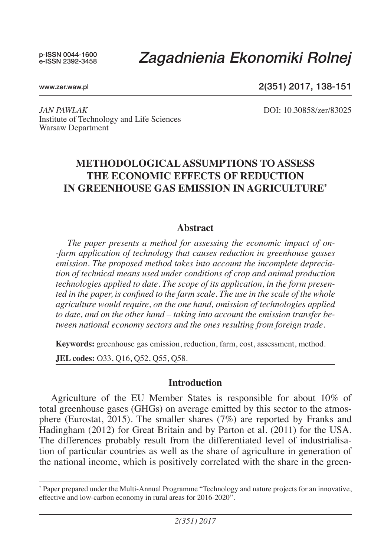p-ISSN 0044-1600 e-ISSN 2392-3458

# *Zagadnienia Ekonomiki Rolnej*

www.zer.waw.pl

2(351) 2017, 138-151

*JAN PAWLAK* DOI: 10.30858/zer/83025 Institute of Technology and Life Sciences Warsaw Department

# **METHODOLOGICAL ASSUMPTIONS TO ASSESS THE ECONOMIC EFFECTS OF REDUCTION IN GREENHOUSE GAS EMISSION IN AGRICULTURE\***

## **Abstract**

*The paper presents a method for assessing the economic impact of on- -farm application of technology that causes reduction in greenhouse gasses emission. The proposed method takes into account the incomplete depreciation of technical means used under conditions of crop and animal production technologies applied to date. The scope of its application, in the form presented in the paper, is confined to the farm scale. The use in the scale of the whole agriculture would require, on the one hand, omission of technologies applied to date, and on the other hand – taking into account the emission transfer between national economy sectors and the ones resulting from foreign trade.*

**Keywords:** greenhouse gas emission, reduction, farm, cost, assessment, method.

**JEL codes:** O33, Q16, Q52, Q55, Q58.

#### **Introduction**

Agriculture of the EU Member States is responsible for about 10% of total greenhouse gases (GHGs) on average emitted by this sector to the atmosphere (Eurostat, 2015). The smaller shares (7%) are reported by Franks and Hadingham (2012) for Great Britain and by Parton et al. (2011) for the USA. The differences probably result from the differentiated level of industrialisation of particular countries as well as the share of agriculture in generation of the national income, which is positively correlated with the share in the green-

<sup>\*</sup> Paper prepared under the Multi-Annual Programme "Technology and nature projects for an innovative, effective and low-carbon economy in rural areas for 2016-2020".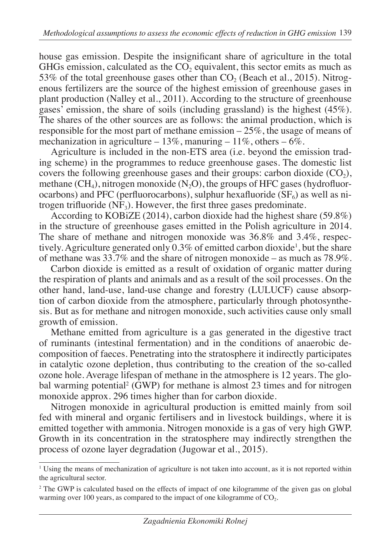house gas emission. Despite the insignificant share of agriculture in the total GHGs emission, calculated as the  $CO<sub>2</sub>$  equivalent, this sector emits as much as 53% of the total greenhouse gases other than  $CO<sub>2</sub>$  (Beach et al., 2015). Nitrogenous fertilizers are the source of the highest emission of greenhouse gases in plant production (Nalley et al., 2011). According to the structure of greenhouse gases' emission, the share of soils (including grassland) is the highest (45%). The shares of the other sources are as follows: the animal production, which is responsible for the most part of methane emission – 25%, the usage of means of mechanization in agriculture – 13%, manuring – 11%, others –  $6\%$ .

Agriculture is included in the non-ETS area (i.e. beyond the emission trading scheme) in the programmes to reduce greenhouse gases. The domestic list covers the following greenhouse gases and their groups: carbon dioxide  $(CO<sub>2</sub>)$ , methane  $(CH_4)$ , nitrogen monoxide  $(N_2O)$ , the groups of HFC gases (hydrofluorocarbons) and PFC (perfluorocarbons), sulphur hexafluoride  $(SF_6)$  as well as nitrogen trifluoride  $(NF_3)$ . However, the first three gases predominate.

According to KOBiZE (2014), carbon dioxide had the highest share (59.8%) in the structure of greenhouse gases emitted in the Polish agriculture in 2014. The share of methane and nitrogen monoxide was 36.8% and 3.4%, respectively. Agriculture generated only  $0.3\%$  of emitted carbon dioxide<sup>1</sup>, but the share of methane was 33.7% and the share of nitrogen monoxide – as much as 78.9%.

Carbon dioxide is emitted as a result of oxidation of organic matter during the respiration of plants and animals and as a result of the soil processes. On the other hand, land-use, land-use change and forestry (LULUCF) cause absorption of carbon dioxide from the atmosphere, particularly through photosynthesis. But as for methane and nitrogen monoxide, such activities cause only small growth of emission.

Methane emitted from agriculture is a gas generated in the digestive tract of ruminants (intestinal fermentation) and in the conditions of anaerobic decomposition of faeces. Penetrating into the stratosphere it indirectly participates in catalytic ozone depletion, thus contributing to the creation of the so-called ozone hole. Average lifespan of methane in the atmosphere is 12 years. The global warming potential<sup>2</sup> (GWP) for methane is almost 23 times and for nitrogen monoxide approx. 296 times higher than for carbon dioxide.

Nitrogen monoxide in agricultural production is emitted mainly from soil fed with mineral and organic fertilisers and in livestock buildings, where it is emitted together with ammonia. Nitrogen monoxide is a gas of very high GWP. Growth in its concentration in the stratosphere may indirectly strengthen the process of ozone layer degradation (Jugowar et al., 2015).

<sup>&</sup>lt;sup>1</sup> Using the means of mechanization of agriculture is not taken into account, as it is not reported within the agricultural sector.

<sup>&</sup>lt;sup>2</sup> The GWP is calculated based on the effects of impact of one kilogramme of the given gas on global warming over 100 years, as compared to the impact of one kilogramme of  $CO<sub>2</sub>$ .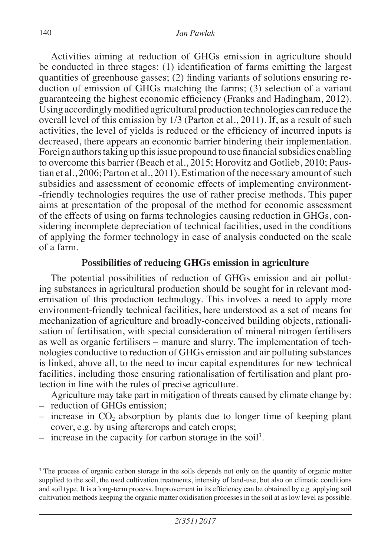Activities aiming at reduction of GHGs emission in agriculture should be conducted in three stages: (1) identification of farms emitting the largest quantities of greenhouse gasses; (2) finding variants of solutions ensuring reduction of emission of GHGs matching the farms; (3) selection of a variant guaranteeing the highest economic efficiency (Franks and Hadingham, 2012). Using accordingly modified agricultural production technologies can reduce the overall level of this emission by 1/3 (Parton et al., 2011). If, as a result of such activities, the level of yields is reduced or the efficiency of incurred inputs is decreased, there appears an economic barrier hindering their implementation. Foreign authors taking up this issue propound to use financial subsidies enabling to overcome this barrier (Beach et al., 2015; Horovitz and Gotlieb, 2010; Paustian et al., 2006; Parton et al., 2011). Estimation of the necessary amount of such subsidies and assessment of economic effects of implementing environment- -friendly technologies requires the use of rather precise methods. This paper aims at presentation of the proposal of the method for economic assessment of the effects of using on farms technologies causing reduction in GHGs, considering incomplete depreciation of technical facilities, used in the conditions of applying the former technology in case of analysis conducted on the scale of a farm.

## **Possibilities of reducing GHGs emission in agriculture**

The potential possibilities of reduction of GHGs emission and air polluting substances in agricultural production should be sought for in relevant modernisation of this production technology. This involves a need to apply more environment-friendly technical facilities, here understood as a set of means for mechanization of agriculture and broadly-conceived building objects, rationalisation of fertilisation, with special consideration of mineral nitrogen fertilisers as well as organic fertilisers – manure and slurry. The implementation of technologies conductive to reduction of GHGs emission and air polluting substances is linked, above all, to the need to incur capital expenditures for new technical facilities, including those ensuring rationalisation of fertilisation and plant protection in line with the rules of precise agriculture.

Agriculture may take part in mitigation of threats caused by climate change by:

- reduction of GHGs emission;
- $-$  increase in CO<sub>2</sub> absorption by plants due to longer time of keeping plant cover, e.g. by using aftercrops and catch crops;
- $-$  increase in the capacity for carbon storage in the soil<sup>3</sup>.

<sup>&</sup>lt;sup>3</sup> The process of organic carbon storage in the soils depends not only on the quantity of organic matter supplied to the soil, the used cultivation treatments, intensity of land-use, but also on climatic conditions and soil type. It is a long-term process. Improvement in its efficiency can be obtained by e.g. applying soil cultivation methods keeping the organic matter oxidisation processes in the soil at as low level as possible.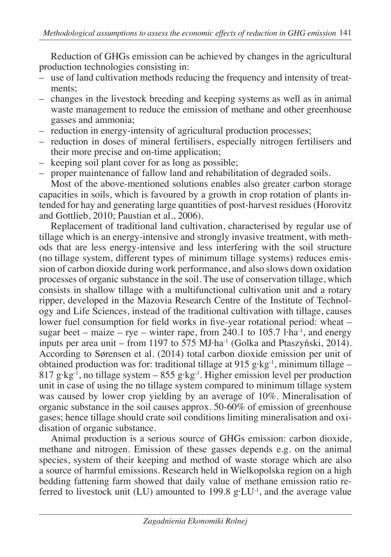Reduction of GHGs emission can be achieved by changes in the agricultural production technologies consisting in:

- use of land cultivation methods reducing the frequency and intensity of treatments;
- changes in the livestock breeding and keeping systems as well as in animal waste management to reduce the emission of methane and other greenhouse gasses and ammonia;
- reduction in energy-intensity of agricultural production processes;
- reduction in doses of mineral fertilisers, especially nitrogen fertilisers and their more precise and on-time application;
- keeping soil plant cover for as long as possible;
- proper maintenance of fallow land and rehabilitation of degraded soils.

Most of the above-mentioned solutions enables also greater carbon storage capacities in soils, which is favoured by a growth in crop rotation of plants intended for hay and generating large quantities of post-harvest residues (Horovitz and Gottlieb, 2010; Paustian et al., 2006).

Replacement of traditional land cultivation, characterised by regular use of tillage which is an energy-intensive and strongly invasive treatment, with methods that are less energy-intensive and less interfering with the soil structure (no tillage system, different types of minimum tillage systems) reduces emission of carbon dioxide during work performance, and also slows down oxidation processes of organic substance in the soil. The use of conservation tillage, which consists in shallow tillage with a multifunctional cultivation unit and a rotary ripper, developed in the Mazovia Research Centre of the Institute of Technology and Life Sciences, instead of the traditional cultivation with tillage, causes lower fuel consumption for field works in five-year rotational period: wheat – sugar beet – maize – rye – winter rape, from  $240.1$  to  $105.7$  l·ha<sup>-1</sup>, and energy inputs per area unit – from 1197 to 575 MJ·ha-1 (Golka and Ptaszyński, 2014). According to Sørensen et al. (2014) total carbon dioxide emission per unit of obtained production was for: traditional tillage at 915 g·kg<sup>-1</sup>, minimum tillage – 817 g·kg<sup>-1</sup>, no tillage system – 855 g·kg<sup>-1</sup>. Higher emission level per production unit in case of using the no tillage system compared to minimum tillage system was caused by lower crop yielding by an average of 10%. Mineralisation of organic substance in the soil causes approx. 50-60% of emission of greenhouse gases; hence tillage should crate soil conditions limiting mineralisation and oxidisation of organic substance.

Animal production is a serious source of GHGs emission: carbon dioxide, methane and nitrogen. Emission of these gasses depends e.g. on the animal species, system of their keeping and method of waste storage which are also a source of harmful emissions. Research held in Wielkopolska region on a high bedding fattening farm showed that daily value of methane emission ratio referred to livestock unit (LU) amounted to 199.8 g·LU<sup>-1</sup>, and the average value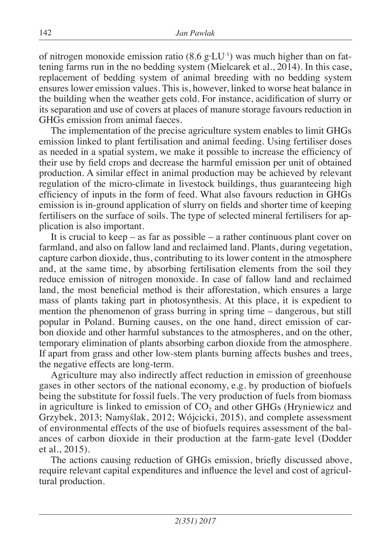of nitrogen monoxide emission ratio  $(8.6 \text{ g} \cdot \text{LU}^{-1})$  was much higher than on fattening farms run in the no bedding system (Mielcarek et al., 2014). In this case, replacement of bedding system of animal breeding with no bedding system ensures lower emission values. This is, however, linked to worse heat balance in the building when the weather gets cold. For instance, acidification of slurry or its separation and use of covers at places of manure storage favours reduction in GHGs emission from animal faeces.

The implementation of the precise agriculture system enables to limit GHGs emission linked to plant fertilisation and animal feeding. Using fertiliser doses as needed in a spatial system, we make it possible to increase the efficiency of their use by field crops and decrease the harmful emission per unit of obtained production. A similar effect in animal production may be achieved by relevant regulation of the micro-climate in livestock buildings, thus guaranteeing high efficiency of inputs in the form of feed. What also favours reduction in GHGs emission is in-ground application of slurry on fields and shorter time of keeping fertilisers on the surface of soils. The type of selected mineral fertilisers for application is also important.

It is crucial to keep  $-$  as far as possible  $-$  a rather continuous plant cover on farmland, and also on fallow land and reclaimed land. Plants, during vegetation, capture carbon dioxide, thus, contributing to its lower content in the atmosphere and, at the same time, by absorbing fertilisation elements from the soil they reduce emission of nitrogen monoxide. In case of fallow land and reclaimed land, the most beneficial method is their afforestation, which ensures a large mass of plants taking part in photosynthesis. At this place, it is expedient to mention the phenomenon of grass burring in spring time – dangerous, but still popular in Poland. Burning causes, on the one hand, direct emission of carbon dioxide and other harmful substances to the atmospheres, and on the other, temporary elimination of plants absorbing carbon dioxide from the atmosphere. If apart from grass and other low-stem plants burning affects bushes and trees, the negative effects are long-term.

Agriculture may also indirectly affect reduction in emission of greenhouse gases in other sectors of the national economy, e.g. by production of biofuels being the substitute for fossil fuels. The very production of fuels from biomass in agriculture is linked to emission of  $CO<sub>2</sub>$  and other GHGs (Hryniewicz and Grzybek, 2013; Namyślak, 2012; Wójcicki, 2015), and complete assessment of environmental effects of the use of biofuels requires assessment of the balances of carbon dioxide in their production at the farm-gate level (Dodder et al., 2015).

The actions causing reduction of GHGs emission, briefly discussed above, require relevant capital expenditures and influence the level and cost of agricultural production.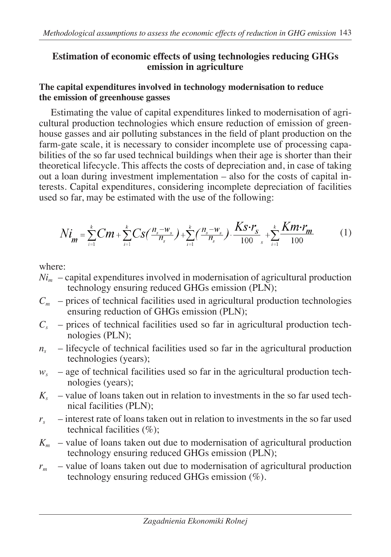## **Estimation of economic effects of using technologies reducing GHGs emission in agriculture**

## **The capital expenditures involved in technology modernisation to reduce the emission of greenhouse gasses**

Estimating the value of capital expenditures linked to modernisation of agricultural production technologies which ensure reduction of emission of greenhouse gasses and air polluting substances in the field of plant production on the farm-gate scale, it is necessary to consider incomplete use of processing capabilities of the so far used technical buildings when their age is shorter than their theoretical lifecycle. This affects the costs of depreciation and, in case of taking out a loan during investment implementation – also for the costs of capital interests. Capital expenditures, considering incomplete depreciation of facilities used so far, may be estimated with the use of the following:

$$
Ni_{m} = \sum_{i=1}^{k} Cm + \sum_{i=1}^{k} Cs(\frac{n_{s}-w_{s}}{n_{s}}) + \sum_{i=1}^{k} (\frac{n_{s}-w_{s}}{n_{s}}) \cdot \frac{Ks \cdot r_{s}}{100 s} + \sum_{i=1}^{k} \frac{Km \cdot r_{m}}{100} \tag{1}
$$

where:

- $Ni<sub>m</sub>$  capital expenditures involved in modernisation of agricultural production technology ensuring reduced GHGs emission (PLN);
- $C_m$  prices of technical facilities used in agricultural production technologies ensuring reduction of GHGs emission (PLN);
- $C_s$  prices of technical facilities used so far in agricultural production technologies (PLN);
- $n<sub>s</sub>$  lifecycle of technical facilities used so far in the agricultural production technologies (years);
- $w<sub>s</sub>$  age of technical facilities used so far in the agricultural production technologies (years);
- $K<sub>s</sub>$  value of loans taken out in relation to investments in the so far used technical facilities (PLN);
- $r<sub>s</sub>$  interest rate of loans taken out in relation to investments in the so far used technical facilities  $(\%)$ ;
- $K_m$  value of loans taken out due to modernisation of agricultural production technology ensuring reduced GHGs emission (PLN);
- *rm* value of loans taken out due to modernisation of agricultural production technology ensuring reduced GHGs emission (%).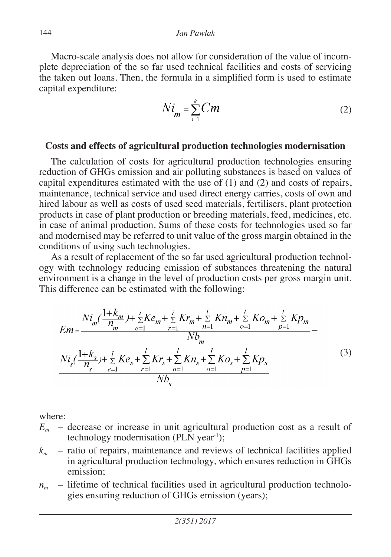Macro-scale analysis does not allow for consideration of the value of incomplete depreciation of the so far used technical facilities and costs of servicing the taken out loans. Then, the formula in a simplified form is used to estimate capital expenditure:

$$
Ni_{m} = \sum_{i=1}^{k} Cm
$$
 (2)

#### **Costs and effects of agricultural production technologies modernisation**

The calculation of costs for agricultural production technologies ensuring reduction of GHGs emission and air polluting substances is based on values of capital expenditures estimated with the use of (1) and (2) and costs of repairs, maintenance, technical service and used direct energy carries, costs of own and hired labour as well as costs of used seed materials, fertilisers, plant protection products in case of plant production or breeding materials, feed, medicines, etc. in case of animal production. Sums of these costs for technologies used so far and modernised may be referred to unit value of the gross margin obtained in the conditions of using such technologies.

As a result of replacement of the so far used agricultural production technology with technology reducing emission of substances threatening the natural environment is a change in the level of production costs per gross margin unit. This difference can be estimated with the following:

$$
E_m = \frac{Ni_m(\frac{1+k_m}{n_m}) + \sum_{e=1}^{i} Ke_m + \sum_{r=1}^{i} Kr_m + \sum_{n=1}^{i} Kn_m + \sum_{o=1}^{i} Ko_m + \sum_{p=1}^{i} Kp_m}{Nb_m} - Nl_s(\frac{1+k_s}{n_s}) + \sum_{e=1}^{i} Ke_s + \sum_{r=1}^{i} Kr_s + \sum_{n=1}^{i} Kn_s + \sum_{o=1}^{i} Ko_s + \sum_{p=1}^{i} Kp_s}
$$
(3)

where:

- *Em* decrease or increase in unit agricultural production cost as a result of technology modernisation (PLN year<sup>-1</sup>);
- *km* ratio of repairs, maintenance and reviews of technical facilities applied in agricultural production technology, which ensures reduction in GHGs emission;
- $n_m$  lifetime of technical facilities used in agricultural production technologies ensuring reduction of GHGs emission (years);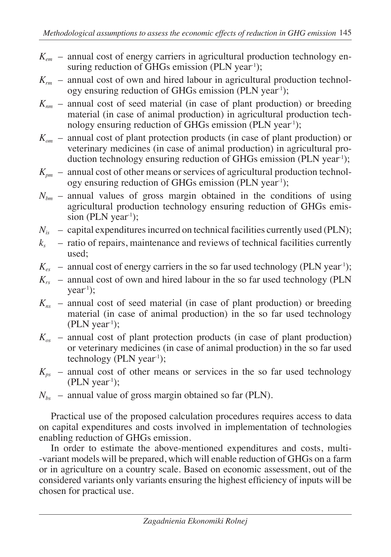- *Kem* annual cost of energy carriers in agricultural production technology ensuring reduction of GHGs emission (PLN year<sup>-1</sup>);
- $K_{rm}$  annual cost of own and hired labour in agricultural production technology ensuring reduction of GHGs emission (PLN year-1);
- $K_{nm}$  annual cost of seed material (in case of plant production) or breeding material (in case of animal production) in agricultural production technology ensuring reduction of GHGs emission (PLN year<sup>1</sup>);
- *Kom* annual cost of plant protection products (in case of plant production) or veterinary medicines (in case of animal production) in agricultural production technology ensuring reduction of GHGs emission (PLN year<sup>-1</sup>);
- $K_{pm}$  annual cost of other means or services of agricultural production technology ensuring reduction of GHGs emission (PLN year<sup>-1</sup>);
- $N_{bm}$  annual values of gross margin obtained in the conditions of using agricultural production technology ensuring reduction of GHGs emission (PLN year<sup>1</sup>);
- $N_{is}$  capital expenditures incurred on technical facilities currently used (PLN);
- $k<sub>s</sub>$  ratio of repairs, maintenance and reviews of technical facilities currently used;
- $K_{\text{ex}}$  annual cost of energy carriers in the so far used technology (PLN year<sup>1</sup>);
- $K_{rs}$  annual cost of own and hired labour in the so far used technology (PLN  $year<sup>-1</sup>$ ;
- *Kns* annual cost of seed material (in case of plant production) or breeding material (in case of animal production) in the so far used technology  $(PLN year<sup>-1</sup>)$ ;
- $K_{\alpha s}$  annual cost of plant protection products (in case of plant production) or veterinary medicines (in case of animal production) in the so far used technology ( $PLN$  year<sup>-1</sup>);
- $K_{ps}$  annual cost of other means or services in the so far used technology  $(PLN$  year<sup>1</sup>);
- $N_{bs}$  annual value of gross margin obtained so far (PLN).

Practical use of the proposed calculation procedures requires access to data on capital expenditures and costs involved in implementation of technologies enabling reduction of GHGs emission.

In order to estimate the above-mentioned expenditures and costs, multi- -variant models will be prepared, which will enable reduction of GHGs on a farm or in agriculture on a country scale. Based on economic assessment, out of the considered variants only variants ensuring the highest efficiency of inputs will be chosen for practical use.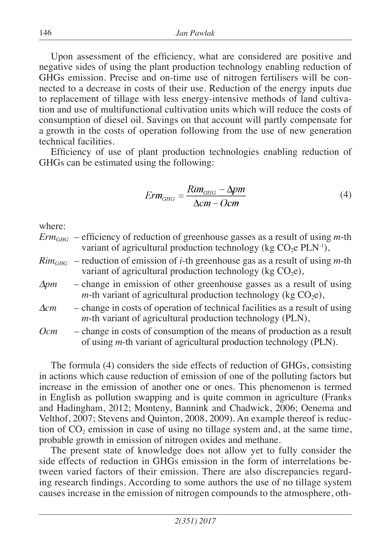Upon assessment of the efficiency, what are considered are positive and negative sides of using the plant production technology enabling reduction of GHGs emission. Precise and on-time use of nitrogen fertilisers will be connected to a decrease in costs of their use. Reduction of the energy inputs due to replacement of tillage with less energy-intensive methods of land cultivation and use of multifunctional cultivation units which will reduce the costs of consumption of diesel oil. Savings on that account will partly compensate for a growth in the costs of operation following from the use of new generation technical facilities.

Efficiency of use of plant production technologies enabling reduction of GHGs can be estimated using the following:

$$
Erm_{GHG} = \frac{Rim_{GHG} - \Delta pm}{\Delta cm - Ocm}
$$
 (4)

where:

*ErmGHG* – efficiency of reduction of greenhouse gasses as a result of using *m*-th variant of agricultural production technology (kg  $CO<sub>2</sub>e$  PLN<sup>-1</sup>),

- $Rim<sub>GHG</sub>$  reduction of emission of *i*-th greenhouse gas as a result of using *m*-th variant of agricultural production technology (kg  $CO<sub>2</sub>e$ ),
- *∆pm* change in emission of other greenhouse gasses as a result of using *m*-th variant of agricultural production technology (kg  $CO<sub>2</sub>e$ ),
- *∆cm* change in costs of operation of technical facilities as a result of using *m*-th variant of agricultural production technology (PLN),
- *Ocm* change in costs of consumption of the means of production as a result of using *m*-th variant of agricultural production technology (PLN).

The formula (4) considers the side effects of reduction of GHGs, consisting in actions which cause reduction of emission of one of the polluting factors but increase in the emission of another one or ones. This phenomenon is termed in English as pollution swapping and is quite common in agriculture (Franks and Hadingham, 2012; Monteny, Bannink and Chadwick, 2006; Oenema and Velthof, 2007; Stevens and Quinton, 2008, 2009). An example thereof is reduction of  $CO<sub>2</sub>$  emission in case of using no tillage system and, at the same time, probable growth in emission of nitrogen oxides and methane.

The present state of knowledge does not allow yet to fully consider the side effects of reduction in GHGs emission in the form of interrelations between varied factors of their emission. There are also discrepancies regarding research findings. According to some authors the use of no tillage system causes increase in the emission of nitrogen compounds to the atmosphere, oth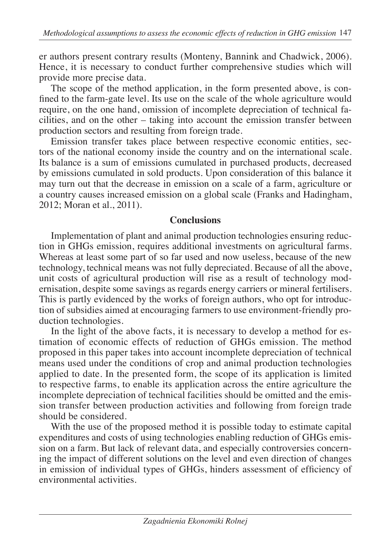er authors present contrary results (Monteny, Bannink and Chadwick, 2006). Hence, it is necessary to conduct further comprehensive studies which will provide more precise data.

The scope of the method application, in the form presented above, is confined to the farm-gate level. Its use on the scale of the whole agriculture would require, on the one hand, omission of incomplete depreciation of technical facilities, and on the other – taking into account the emission transfer between production sectors and resulting from foreign trade.

Emission transfer takes place between respective economic entities, sectors of the national economy inside the country and on the international scale. Its balance is a sum of emissions cumulated in purchased products, decreased by emissions cumulated in sold products. Upon consideration of this balance it may turn out that the decrease in emission on a scale of a farm, agriculture or a country causes increased emission on a global scale (Franks and Hadingham, 2012; Moran et al., 2011).

# **Conclusions**

Implementation of plant and animal production technologies ensuring reduction in GHGs emission, requires additional investments on agricultural farms. Whereas at least some part of so far used and now useless, because of the new technology, technical means was not fully depreciated. Because of all the above, unit costs of agricultural production will rise as a result of technology modernisation, despite some savings as regards energy carriers or mineral fertilisers. This is partly evidenced by the works of foreign authors, who opt for introduction of subsidies aimed at encouraging farmers to use environment-friendly production technologies.

In the light of the above facts, it is necessary to develop a method for estimation of economic effects of reduction of GHGs emission. The method proposed in this paper takes into account incomplete depreciation of technical means used under the conditions of crop and animal production technologies applied to date. In the presented form, the scope of its application is limited to respective farms, to enable its application across the entire agriculture the incomplete depreciation of technical facilities should be omitted and the emission transfer between production activities and following from foreign trade should be considered.

With the use of the proposed method it is possible today to estimate capital expenditures and costs of using technologies enabling reduction of GHGs emission on a farm. But lack of relevant data, and especially controversies concerning the impact of different solutions on the level and even direction of changes in emission of individual types of GHGs, hinders assessment of efficiency of environmental activities.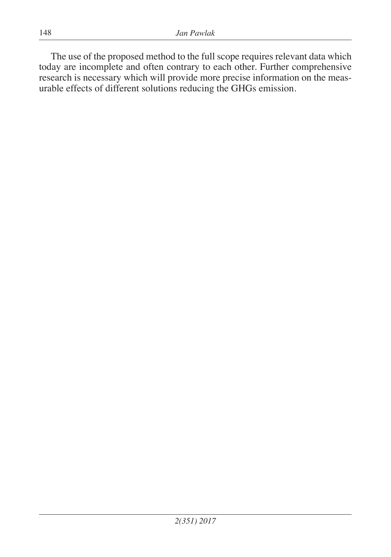The use of the proposed method to the full scope requires relevant data which today are incomplete and often contrary to each other. Further comprehensive research is necessary which will provide more precise information on the measurable effects of different solutions reducing the GHGs emission.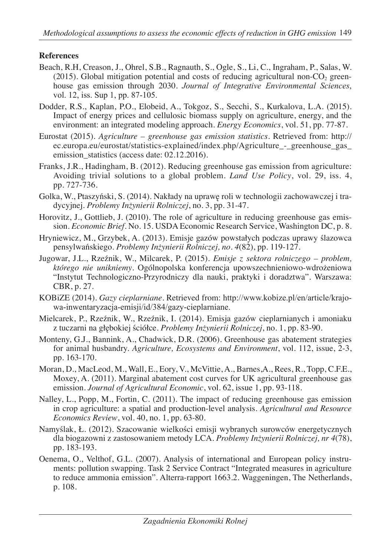## **References**

- Beach, R.H, Creason, J., Ohrel, S.B., Ragnauth, S., Ogle, S., Li, C., Ingraham, P., Salas, W.  $(2015)$ . Global mitigation potential and costs of reducing agricultural non-CO<sub>2</sub> greenhouse gas emission through 2030. *Journal of Integrative Environmental Sciences*, vol. 12, iss. Sup 1, pp. 87-105.
- Dodder, R.S., Kaplan, P.O., Elobeid, A., Tokgoz, S., Secchi, S., Kurkalova, L.A. (2015). Impact of energy prices and cellulosic biomass supply on agriculture, energy, and the environment: an integrated modeling approach. *Energy Economics*, vol. 51, pp. 77-87.
- Eurostat (2015). *Agriculture greenhouse gas emission statistics*. Retrieved from: http:// ec.europa.eu/eurostat/statistics-explained/index.php/Agriculture - greenhouse gas emission statistics (access date: 02.12.2016).
- Franks, J.R., Hadingham, B. (2012). Reducing greenhouse gas emission from agriculture: Avoiding trivial solutions to a global problem. *Land Use Policy*, vol. 29, iss. 4, pp. 727-736.
- Golka, W., Ptaszyński, S. (2014). Nakłady na uprawę roli w technologii zachowawczej i tradycyjnej. *Problemy Inżynierii Rolniczej*, no. 3, pp. 31-47.
- Horovitz, J., Gottlieb, J. (2010). The role of agriculture in reducing greenhouse gas emission. *Economic Brief*. No. 15. USDA Economic Research Service, Washington DC, p. 8.
- Hryniewicz, M., Grzybek, A. (2013). Emisje gazów powstałych podczas uprawy ślazowca pensylwańskiego. *Problemy Inżynierii Rolniczej, no. 4*(82), pp. 119-127.
- Jugowar, J.L., Rzeźnik, W., Milcarek, P. (2015). *Emisje z sektora rolniczego problem, którego nie unikniemy*. Ogólnopolska konferencja upowszechnieniowo-wdrożeniowa "Instytut Technologiczno-Przyrodniczy dla nauki, praktyki i doradztwa". Warszawa: CBR, p. 27.
- KOBiZE (2014). *Gazy cieplarniane*. Retrieved from: http://www.kobize.pl/en/article/krajowa-inwentaryzacja-emisji/id/384/gazy-cieplarniane.
- Mielcarek, P., Rzeźnik, W., Rzeźnik, I. (2014). Emisja gazów cieplarnianych i amoniaku z tuczarni na głębokiej ściółce. *Problemy Inżynierii Rolniczej*, no. 1, pp. 83-90.
- Monteny, G.J., Bannink, A., Chadwick, D.R. (2006). Greenhouse gas abatement strategies for animal husbandry. *Agriculture, Ecosystems and Environment*, vol. 112, issue, 2-3, pp. 163-170.
- Moran, D., MacLeod, M., Wall, E., Eory, V., McVittie, A., Barnes,A., Rees, R., Topp, C.F.E., Moxey, A. (2011). Marginal abatement cost curves for UK agricultural greenhouse gas emission. *Journal of Agricultural Economic*, vol. 62, issue 1, pp. 93-118.
- Nalley, L., Popp, M., Fortin, C. (2011). The impact of reducing greenhouse gas emission in crop agriculture: a spatial and production-level analysis. *Agricultural and Resource Economics Review*, vol. 40, no. 1, pp. 63-80.
- Namyślak, Ł. (2012). Szacowanie wielkości emisji wybranych surowców energetycznych dla biogazowni z zastosowaniem metody LCA. *Problemy Inżynierii Rolniczej, nr 4*(78), pp. 183-193.
- Oenema, O., Velthof, G.L. (2007). Analysis of international and European policy instruments: pollution swapping. Task 2 Service Contract "Integrated measures in agriculture to reduce ammonia emission". Alterra-rapport 1663.2. Waggeningen, The Netherlands, p. 108.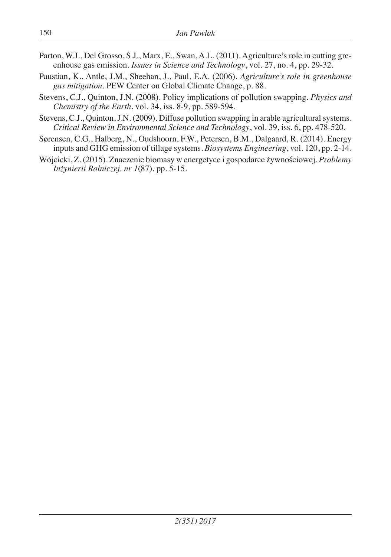- Parton, W.J., Del Grosso, S.J., Marx, E., Swan, A.L. (2011). Agriculture's role in cutting greenhouse gas emission. *Issues in Science and Technology*, vol. 27, no. 4, pp. 29-32.
- Paustian, K., Antle, J.M., Sheehan, J., Paul, E.A. (2006). *Agriculture's role in greenhouse gas mitigation*. PEW Center on Global Climate Change, p. 88.
- Stevens, C.J., Quinton, J.N. (2008). Policy implications of pollution swapping. *Physics and Chemistry of the Earth*, vol. 34, iss. 8-9, pp. 589-594.
- Stevens, C.J., Quinton, J.N. (2009). Diffuse pollution swapping in arable agricultural systems. *Critical Review in Environmental Science and Technology*, vol. 39, iss. 6, pp. 478-520.
- Sørensen, C.G., Halberg, N., Oudshoorn, F.W., Petersen, B.M., Dalgaard, R. (2014). Energy inputs and GHG emission of tillage systems. *Biosystems Engineering*, vol. 120, pp. 2-14.
- Wójcicki, Z. (2015). Znaczenie biomasy w energetyce i gospodarce żywnościowej. *Problemy Inżynierii Rolniczej, nr 1*(87), pp. 5-15.